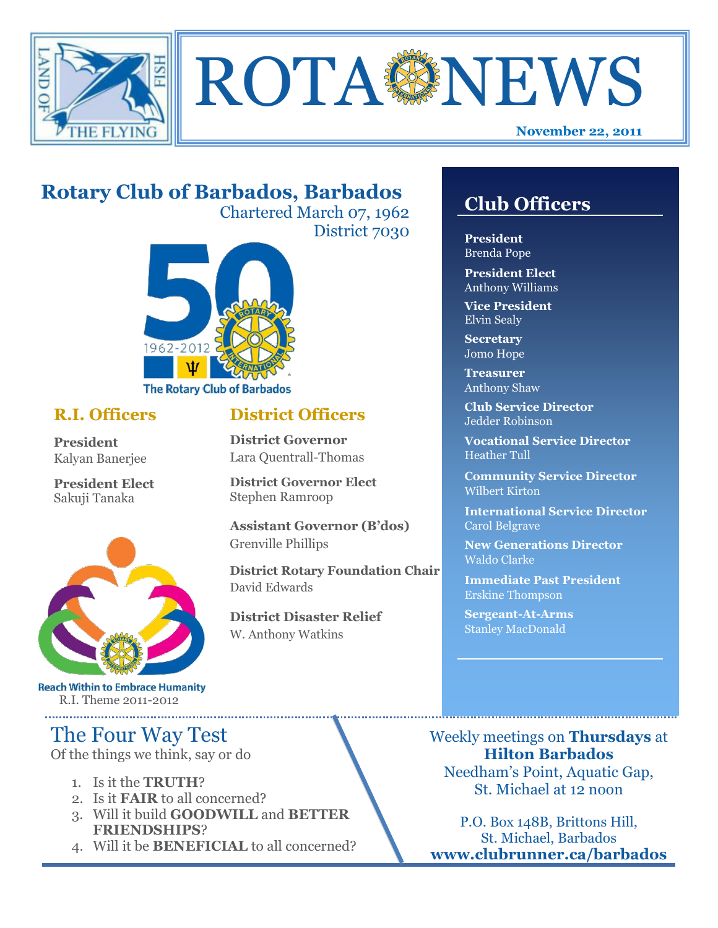



# **Rotary Club of Barbados, Barbados**

Chartered March 07, 1962 District 7030



#### **R.I. Officers**

**President**  Kalyan Banerjee

**President Elect** Sakuji Tanaka



**Reach Within to Embrace Humanity** R.I. Theme 2011-2012

## The Four Way Test

Of the things we think, say or do

- 1. Is it the **TRUTH**?
- 2. Is it **FAIR** to all concerned?
- 3. Will it build **GOODWILL** and **BETTER FRIENDSHIPS**?
- 4. Will it be **BENEFICIAL** to all concerned?

## **Club Officers**

**Club Officers** 

**President** Brenda Pope

**President Elect** Anthony Williams

**Vice President** Elvin Sealy

**Secretary** Jomo Hope

**Treasurer** Anthony Shaw

**Club Service Director** Jedder Robinson

**Vocational Service Director** Heather Tull

**Community Service Director** Wilbert Kirton

**International Service Director** Carol Belgrave

**New Generations Director** Waldo Clarke

**Immediate Past President** Erskine Thompson

**Sergeant-At-Arms** Stanley MacDonald

Weekly meetings on **Thursdays** at **Hilton Barbados** Needham's Point, Aquatic Gap, St. Michael at 12 noon

P.O. Box 148B, Brittons Hill, St. Michael, Barbados **www.clubrunner.ca/barbados**

## **District Officers**

**District Governor** Lara Quentrall-Thomas

**District Governor Elect** Stephen Ramroop

**Assistant Governor (B'dos)** Grenville Phillips

**District Rotary Foundation Chair** David Edwards

**District Disaster Relief** W. Anthony Watkins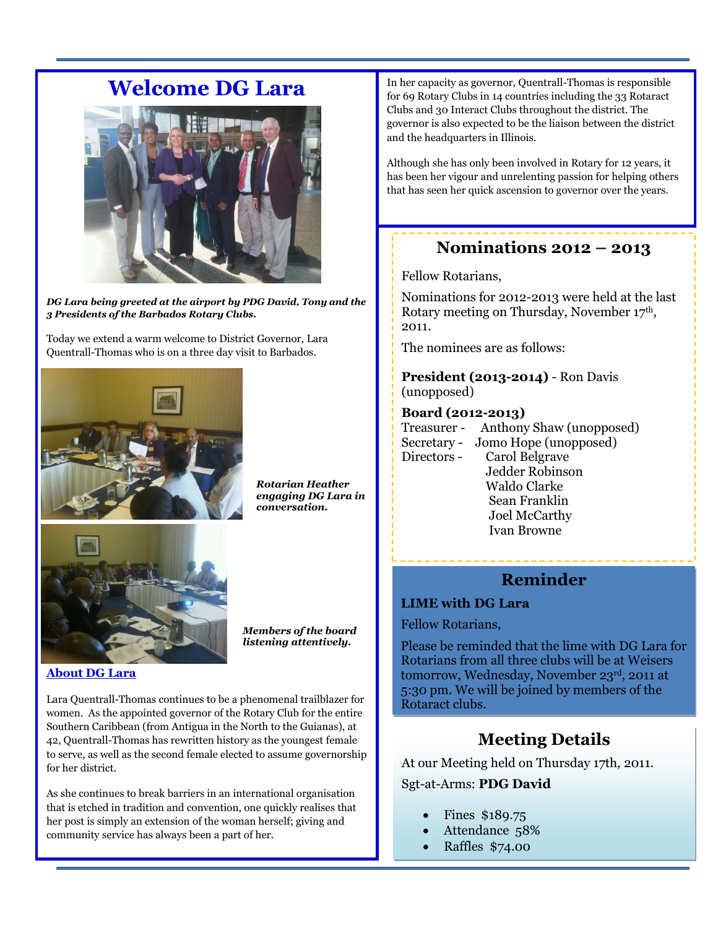## **Welcome DG Lara**



*DG Lara being greeted at the airport by PDG David, Tony and the 3 Presidents of the Barbados Rotary Clubs.*

Today we extend a warm welcome to District Governor, Lara Quentrall-Thomas who is on a three day visit to Barbados.



*Rotarian Heather engaging DG Lara in conversation.*



*Members of the board listening attentively.*

#### **About DG Lara**

Lara Quentrall-Thomas continues to be a phenomenal trailblazer for women. As the appointed governor of the Rotary Club for the entire Southern Caribbean (from Antigua in the North to the Guianas), at 42, Quentrall-Thomas has rewritten history as the youngest female to serve, as well as the second female elected to assume governorship for her district.

As she continues to break barriers in an international organisation that is etched in tradition and convention, one quickly realises that her post is simply an extension of the woman herself; giving and community service has always been a part of her.

In her capacity as governor, Quentrall-Thomas is responsible for 69 Rotary Clubs in 14 countries including the 33 Rotaract Clubs and 30 Interact Clubs throughout the district. The governor is also expected to be the liaison between the district and the headquarters in Illinois.

Although she has only been involved in Rotary for 12 years, it has been her vigour and unrelenting passion for helping others that has seen her quick ascension to governor over the years.

#### **Nominations 2012 – 2013**

Fellow Rotarians,

Nominations for 2012-2013 were held at the last Rotary meeting on Thursday, November 17th, 2011.

The nominees are as follows:

**President (2013-2014)** - Ron Davis (unopposed)

#### **Board (2012-2013)**

Treasurer - Anthony Shaw (unopposed) Secretary - Jomo Hope (unopposed) Directors - Carol Belgrave Jedder Robinson Waldo Clarke Sean Franklin

Joel McCarthy Ivan Browne

#### **Reminder**

#### **LIME with DG Lara**

Fellow Rotarians,

Please be reminded that the lime with DG Lara for Rotarians from all three clubs will be at Weisers tomorrow, Wednesday, November 23rd, 2011 at 5:30 pm. We will be joined by members of the Rotaract clubs.

## **Meeting Details**

At our Meeting held on Thursday 17th, 2011.

#### Sgt-at-Arms: **PDG David**

- Fines \$189.75
- Attendance 58%
	- Raffles \$74.00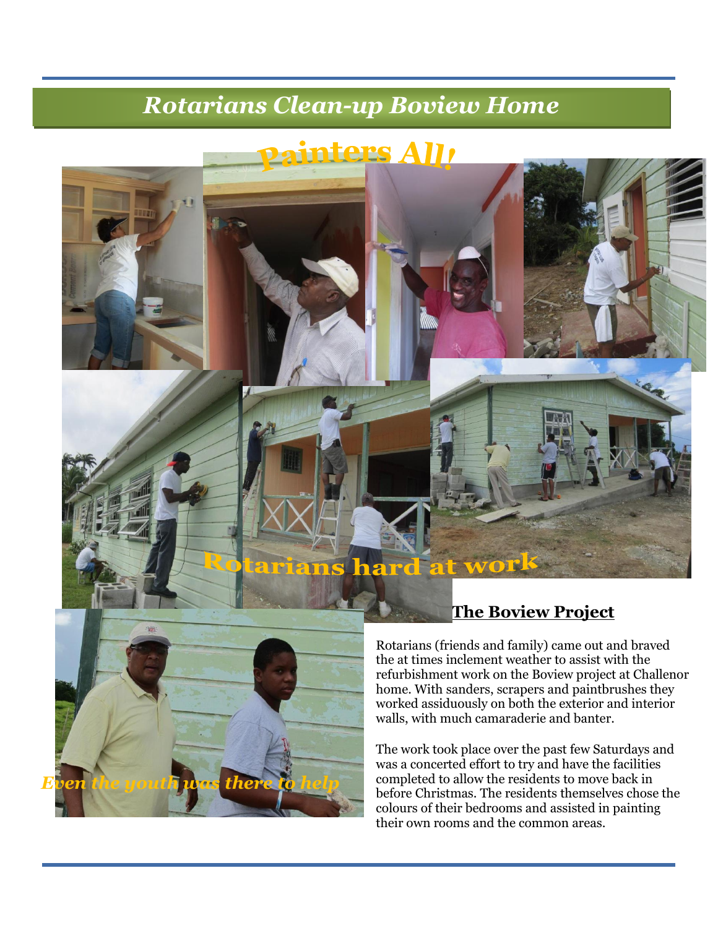# *Rotarians Clean-up Boview Home*

# ainters All



## **The Boview Project**

hard at v

ans

Rotarians (friends and family) came out and braved the at times inclement weather to assist with the refurbishment work on the Boview project at Challenor home. With sanders, scrapers and paintbrushes they worked assiduously on both the exterior and interior walls, with much camaraderie and banter.

The work took place over the past few Saturdays and was a concerted effort to try and have the facilities completed to allow the residents to move back in before Christmas. The residents themselves chose the colours of their bedrooms and assisted in painting their own rooms and the common areas.